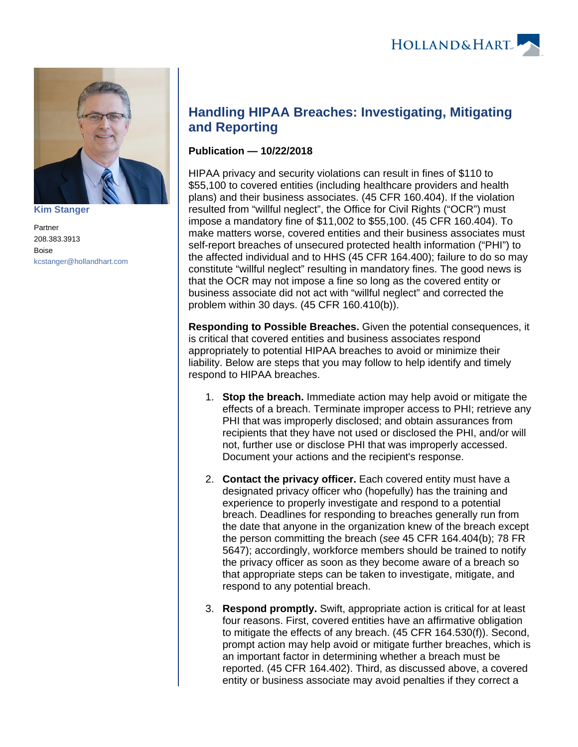

**[Kim Stanger](https://www.hollandhart.com/15954)**

Partner 208.383.3913 Boise [kcstanger@hollandhart.com](mailto:kcstanger@hollandhart.com)

## **Handling HIPAA Breaches: Investigating, Mitigating and Reporting**

## **Publication — 10/22/2018**

HIPAA privacy and security violations can result in fines of \$110 to \$55,100 to covered entities (including healthcare providers and health plans) and their business associates. (45 CFR 160.404). If the violation resulted from "willful neglect", the Office for Civil Rights ("OCR") must impose a mandatory fine of \$11,002 to \$55,100. (45 CFR 160.404). To make matters worse, covered entities and their business associates must self-report breaches of unsecured protected health information ("PHI") to the affected individual and to HHS (45 CFR 164.400); failure to do so may constitute "willful neglect" resulting in mandatory fines. The good news is that the OCR may not impose a fine so long as the covered entity or business associate did not act with "willful neglect" and corrected the problem within 30 days. (45 CFR 160.410(b)).

**Responding to Possible Breaches.** Given the potential consequences, it is critical that covered entities and business associates respond appropriately to potential HIPAA breaches to avoid or minimize their liability. Below are steps that you may follow to help identify and timely respond to HIPAA breaches.

- 1. **Stop the breach.** Immediate action may help avoid or mitigate the effects of a breach. Terminate improper access to PHI; retrieve any PHI that was improperly disclosed; and obtain assurances from recipients that they have not used or disclosed the PHI, and/or will not, further use or disclose PHI that was improperly accessed. Document your actions and the recipient's response.
- 2. **Contact the privacy officer.** Each covered entity must have a designated privacy officer who (hopefully) has the training and experience to properly investigate and respond to a potential breach. Deadlines for responding to breaches generally run from the date that anyone in the organization knew of the breach except the person committing the breach (see 45 CFR 164.404(b); 78 FR 5647); accordingly, workforce members should be trained to notify the privacy officer as soon as they become aware of a breach so that appropriate steps can be taken to investigate, mitigate, and respond to any potential breach.
- 3. **Respond promptly.** Swift, appropriate action is critical for at least four reasons. First, covered entities have an affirmative obligation to mitigate the effects of any breach. (45 CFR 164.530(f)). Second, prompt action may help avoid or mitigate further breaches, which is an important factor in determining whether a breach must be reported. (45 CFR 164.402). Third, as discussed above, a covered entity or business associate may avoid penalties if they correct a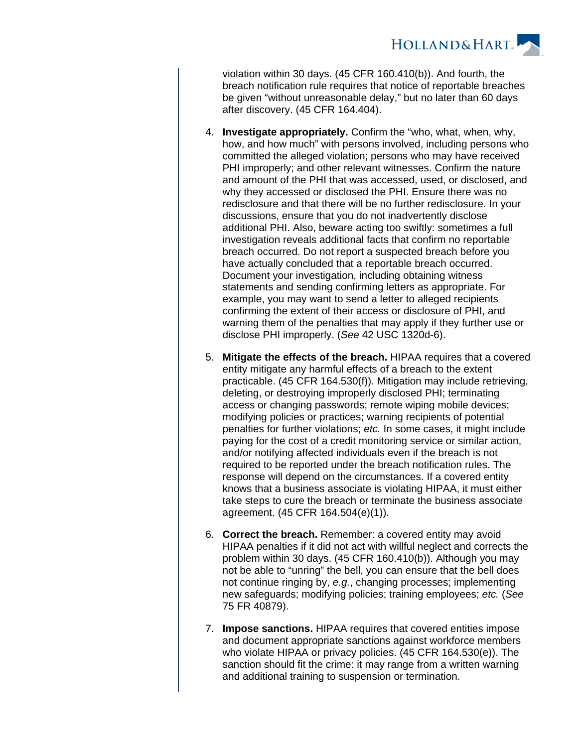**HOLLAND&HART** 

violation within 30 days. (45 CFR 160.410(b)). And fourth, the breach notification rule requires that notice of reportable breaches be given "without unreasonable delay," but no later than 60 days after discovery. (45 CFR 164.404).

- 4. **Investigate appropriately.** Confirm the "who, what, when, why, how, and how much" with persons involved, including persons who committed the alleged violation; persons who may have received PHI improperly; and other relevant witnesses. Confirm the nature and amount of the PHI that was accessed, used, or disclosed, and why they accessed or disclosed the PHI. Ensure there was no redisclosure and that there will be no further redisclosure. In your discussions, ensure that you do not inadvertently disclose additional PHI. Also, beware acting too swiftly: sometimes a full investigation reveals additional facts that confirm no reportable breach occurred. Do not report a suspected breach before you have actually concluded that a reportable breach occurred. Document your investigation, including obtaining witness statements and sending confirming letters as appropriate. For example, you may want to send a letter to alleged recipients confirming the extent of their access or disclosure of PHI, and warning them of the penalties that may apply if they further use or disclose PHI improperly. (See 42 USC 1320d-6).
- 5. **Mitigate the effects of the breach.** HIPAA requires that a covered entity mitigate any harmful effects of a breach to the extent practicable. (45 CFR 164.530(f)). Mitigation may include retrieving, deleting, or destroying improperly disclosed PHI; terminating access or changing passwords; remote wiping mobile devices; modifying policies or practices; warning recipients of potential penalties for further violations; etc. In some cases, it might include paying for the cost of a credit monitoring service or similar action, and/or notifying affected individuals even if the breach is not required to be reported under the breach notification rules. The response will depend on the circumstances. If a covered entity knows that a business associate is violating HIPAA, it must either take steps to cure the breach or terminate the business associate agreement. (45 CFR 164.504(e)(1)).
- 6. **Correct the breach.** Remember: a covered entity may avoid HIPAA penalties if it did not act with willful neglect and corrects the problem within 30 days. (45 CFR 160.410(b)). Although you may not be able to "unring" the bell, you can ensure that the bell does not continue ringing by, e.g., changing processes; implementing new safeguards; modifying policies; training employees; etc. (See 75 FR 40879).
- 7. **Impose sanctions.** HIPAA requires that covered entities impose and document appropriate sanctions against workforce members who violate HIPAA or privacy policies. (45 CFR 164.530(e)). The sanction should fit the crime: it may range from a written warning and additional training to suspension or termination.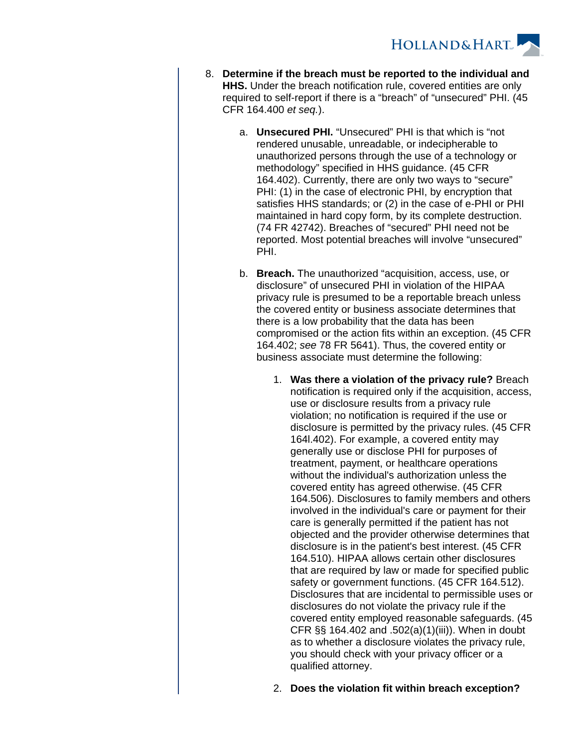

- 8. **Determine if the breach must be reported to the individual and HHS.** Under the breach notification rule, covered entities are only required to self-report if there is a "breach" of "unsecured" PHI. (45 CFR 164.400 et seq.).
	- a. **Unsecured PHI.** "Unsecured" PHI is that which is "not rendered unusable, unreadable, or indecipherable to unauthorized persons through the use of a technology or methodology" specified in HHS guidance. (45 CFR 164.402). Currently, there are only two ways to "secure" PHI: (1) in the case of electronic PHI, by encryption that satisfies HHS standards; or (2) in the case of e-PHI or PHI maintained in hard copy form, by its complete destruction. (74 FR 42742). Breaches of "secured" PHI need not be reported. Most potential breaches will involve "unsecured" PHI.
	- b. **Breach.** The unauthorized "acquisition, access, use, or disclosure" of unsecured PHI in violation of the HIPAA privacy rule is presumed to be a reportable breach unless the covered entity or business associate determines that there is a low probability that the data has been compromised or the action fits within an exception. (45 CFR 164.402; see 78 FR 5641). Thus, the covered entity or business associate must determine the following:
		- 1. **Was there a violation of the privacy rule?** Breach notification is required only if the acquisition, access, use or disclosure results from a privacy rule violation; no notification is required if the use or disclosure is permitted by the privacy rules. (45 CFR 164l.402). For example, a covered entity may generally use or disclose PHI for purposes of treatment, payment, or healthcare operations without the individual's authorization unless the covered entity has agreed otherwise. (45 CFR 164.506). Disclosures to family members and others involved in the individual's care or payment for their care is generally permitted if the patient has not objected and the provider otherwise determines that disclosure is in the patient's best interest. (45 CFR 164.510). HIPAA allows certain other disclosures that are required by law or made for specified public safety or government functions. (45 CFR 164.512). Disclosures that are incidental to permissible uses or disclosures do not violate the privacy rule if the covered entity employed reasonable safeguards. (45 CFR §§ 164.402 and .502(a)(1)(iii)). When in doubt as to whether a disclosure violates the privacy rule, you should check with your privacy officer or a qualified attorney.
		- 2. **Does the violation fit within breach exception?**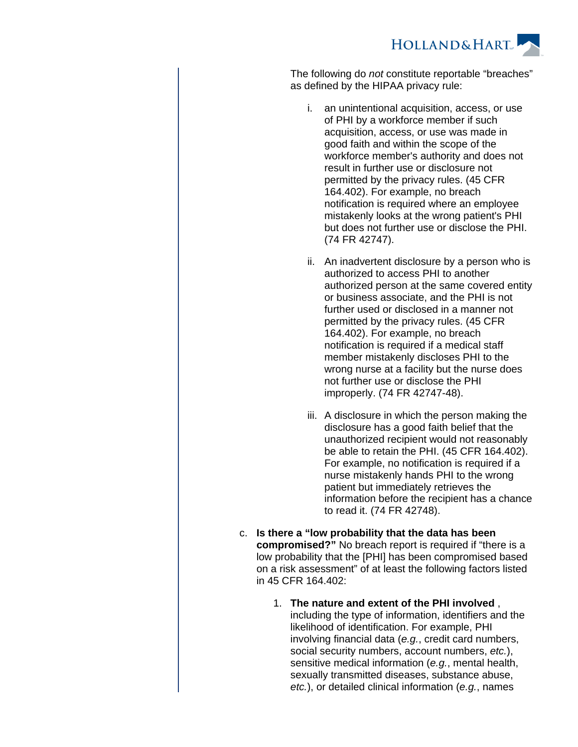

The following do *not* constitute reportable "breaches" as defined by the HIPAA privacy rule:

- i. an unintentional acquisition, access, or use of PHI by a workforce member if such acquisition, access, or use was made in good faith and within the scope of the workforce member's authority and does not result in further use or disclosure not permitted by the privacy rules. (45 CFR 164.402). For example, no breach notification is required where an employee mistakenly looks at the wrong patient's PHI but does not further use or disclose the PHI. (74 FR 42747).
- ii. An inadvertent disclosure by a person who is authorized to access PHI to another authorized person at the same covered entity or business associate, and the PHI is not further used or disclosed in a manner not permitted by the privacy rules. (45 CFR 164.402). For example, no breach notification is required if a medical staff member mistakenly discloses PHI to the wrong nurse at a facility but the nurse does not further use or disclose the PHI improperly. (74 FR 42747-48).
- iii. A disclosure in which the person making the disclosure has a good faith belief that the unauthorized recipient would not reasonably be able to retain the PHI. (45 CFR 164.402). For example, no notification is required if a nurse mistakenly hands PHI to the wrong patient but immediately retrieves the information before the recipient has a chance to read it. (74 FR 42748).
- c. **Is there a "low probability that the data has been compromised?"** No breach report is required if "there is a low probability that the [PHI] has been compromised based on a risk assessment" of at least the following factors listed in 45 CFR 164.402:
	- 1. **The nature and extent of the PHI involved** , including the type of information, identifiers and the likelihood of identification. For example, PHI involving financial data (e.g., credit card numbers, social security numbers, account numbers, etc.), sensitive medical information (e.g., mental health, sexually transmitted diseases, substance abuse, etc.), or detailed clinical information (e.g., names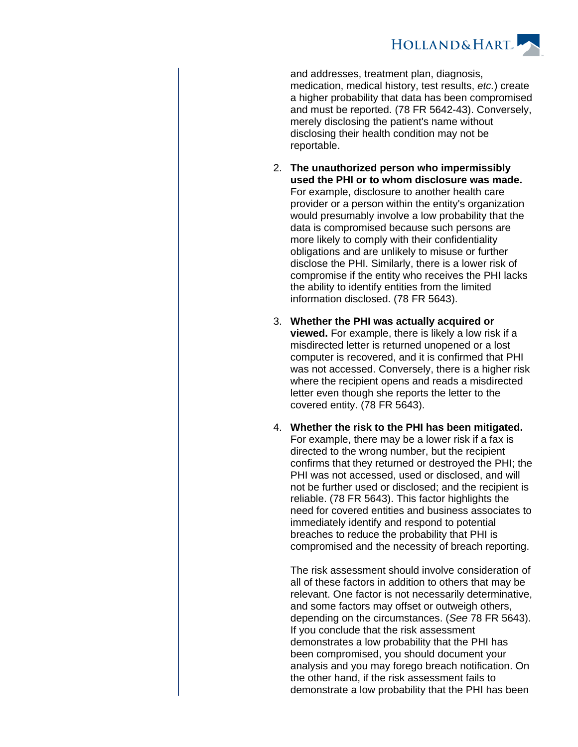

and addresses, treatment plan, diagnosis, medication, medical history, test results, etc.) create a higher probability that data has been compromised and must be reported. (78 FR 5642-43). Conversely, merely disclosing the patient's name without disclosing their health condition may not be reportable.

- 2. **The unauthorized person who impermissibly used the PHI or to whom disclosure was made.** For example, disclosure to another health care provider or a person within the entity's organization would presumably involve a low probability that the data is compromised because such persons are more likely to comply with their confidentiality obligations and are unlikely to misuse or further disclose the PHI. Similarly, there is a lower risk of compromise if the entity who receives the PHI lacks the ability to identify entities from the limited information disclosed. (78 FR 5643).
- 3. **Whether the PHI was actually acquired or viewed.** For example, there is likely a low risk if a misdirected letter is returned unopened or a lost computer is recovered, and it is confirmed that PHI was not accessed. Conversely, there is a higher risk where the recipient opens and reads a misdirected letter even though she reports the letter to the covered entity. (78 FR 5643).
- 4. **Whether the risk to the PHI has been mitigated.** For example, there may be a lower risk if a fax is directed to the wrong number, but the recipient confirms that they returned or destroyed the PHI; the PHI was not accessed, used or disclosed, and will not be further used or disclosed; and the recipient is reliable. (78 FR 5643). This factor highlights the need for covered entities and business associates to immediately identify and respond to potential breaches to reduce the probability that PHI is compromised and the necessity of breach reporting.

The risk assessment should involve consideration of all of these factors in addition to others that may be relevant. One factor is not necessarily determinative, and some factors may offset or outweigh others, depending on the circumstances. (See 78 FR 5643). If you conclude that the risk assessment demonstrates a low probability that the PHI has been compromised, you should document your analysis and you may forego breach notification. On the other hand, if the risk assessment fails to demonstrate a low probability that the PHI has been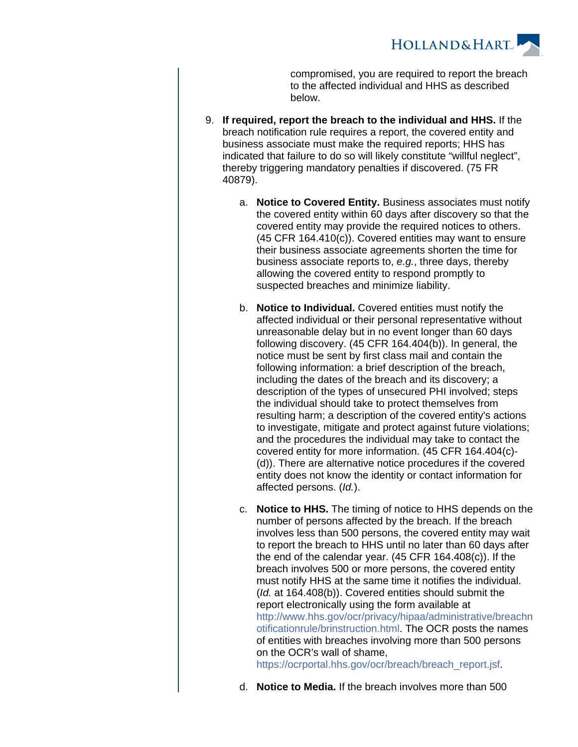

compromised, you are required to report the breach to the affected individual and HHS as described below.

- 9. **If required, report the breach to the individual and HHS.** If the breach notification rule requires a report, the covered entity and business associate must make the required reports; HHS has indicated that failure to do so will likely constitute "willful neglect", thereby triggering mandatory penalties if discovered. (75 FR 40879).
	- a. **Notice to Covered Entity.** Business associates must notify the covered entity within 60 days after discovery so that the covered entity may provide the required notices to others. (45 CFR 164.410(c)). Covered entities may want to ensure their business associate agreements shorten the time for business associate reports to, e.g., three days, thereby allowing the covered entity to respond promptly to suspected breaches and minimize liability.
	- b. **Notice to Individual.** Covered entities must notify the affected individual or their personal representative without unreasonable delay but in no event longer than 60 days following discovery. (45 CFR 164.404(b)). In general, the notice must be sent by first class mail and contain the following information: a brief description of the breach, including the dates of the breach and its discovery; a description of the types of unsecured PHI involved; steps the individual should take to protect themselves from resulting harm; a description of the covered entity's actions to investigate, mitigate and protect against future violations; and the procedures the individual may take to contact the covered entity for more information. (45 CFR 164.404(c)- (d)). There are alternative notice procedures if the covered entity does not know the identity or contact information for affected persons. (Id.).
	- c. **Notice to HHS.** The timing of notice to HHS depends on the number of persons affected by the breach. If the breach involves less than 500 persons, the covered entity may wait to report the breach to HHS until no later than 60 days after the end of the calendar year. (45 CFR 164.408(c)). If the breach involves 500 or more persons, the covered entity must notify HHS at the same time it notifies the individual. (Id. at 164.408(b)). Covered entities should submit the report electronically using the form available at [http://www.hhs.gov/ocr/privacy/hipaa/administrative/breachn](http://www.hhs.gov/ocr/privacy/hipaa/administrative/breachnotificationrule/brinstruction.html) [otificationrule/brinstruction.html](http://www.hhs.gov/ocr/privacy/hipaa/administrative/breachnotificationrule/brinstruction.html). The OCR posts the names of entities with breaches involving more than 500 persons on the OCR's wall of shame, [https://ocrportal.hhs.gov/ocr/breach/breach\\_report.jsf.](https://ocrportal.hhs.gov/ocr/breach/breach_report.jsf)

d. **Notice to Media.** If the breach involves more than 500